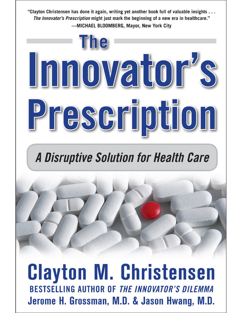"Clayton Christensen has done it again, writing yet another book full of valuable insights ... The Innovator's Prescription might just mark the beginning of a new era in healthcare." -MICHAEL BLOOMBERG, Mayor, New York City



# **A Disruptive Solution for Health Care**



**Clayton M. Christensen BESTSELLING AUTHOR OF THE INNOVATOR'S DILEMMA** Jerome H. Grossman, M.D. & Jason Hwang, M.D.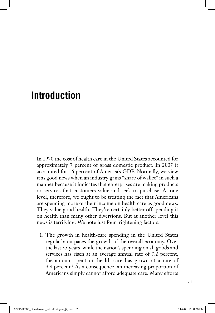# **Introduction**

In 1970 the cost of health care in the United States accounted for approximately 7 percent of gross domestic product. In 2007 it accounted for 16 percent of America's GDP. Normally, we view it as good news when an industry gains "share of wallet" in such a manner because it indicates that enterprises are making products or services that customers value and seek to purchase. At one level, therefore, we ought to be treating the fact that Americans are spending more of their income on health care as good news. They value good health. They're certainly better off spending it on health than many other diversions. But at another level this news is terrifying. We note just four frightening factors.

1. The growth in health-care spending in the United States regularly outpaces the growth of the overall economy. Over the last 35 years, while the nation's spending on all goods and services has risen at an average annual rate of 7.2 percent, the amount spent on health care has grown at a rate of 9.8 percent.<sup>1</sup> As a consequence, an increasing proportion of Americans simply cannot afford adequate care. Many efforts

vii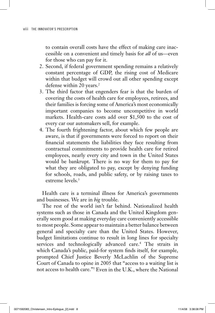to contain overall costs have the effect of making care inaccessible on a convenient and timely basis for *all* of us—even for those who can pay for it.

- 2. Second, if federal government spending remains a relatively constant percentage of GDP, the rising cost of Medicare within that budget will crowd out all other spending except defense within 20 years.<sup>2</sup>
- 3. The third factor that engenders fear is that the burden of covering the costs of health care for employees, retirees, and their families is forcing some of America's most economically important companies to become uncompetitive in world markets. Health-care costs add over \$1,500 to the cost of every car our automakers sell, for example.
- 4. The fourth frightening factor, about which few people are aware, is that if governments were forced to report on their financial statements the liabilities they face resulting from contractual commitments to provide health care for retired employees, nearly every city and town in the United States would be bankrupt. There is no way for them to pay for what they are obligated to pay, except by denying funding for schools, roads, and public safety, or by raising taxes to extreme levels.3

Health care is a terminal illness for America's governments and businesses. We are in *big* trouble.

The rest of the world isn't far behind. Nationalized health systems such as those in Canada and the United Kingdom generally seem good at making everyday care conveniently accessible to most people. Some appear to maintain a better balance between general and specialty care than the United States. However, budget limitations continue to result in long lines for specialty services and technologically advanced care.<sup>4</sup> The straits in which Canada's public, paid-for system finds itself, for example, prompted Chief Justice Beverly McLachlin of the Supreme Court of Canada to opine in 2005 that "access to a waiting list is not access to health care."5 Even in the U.K., where the National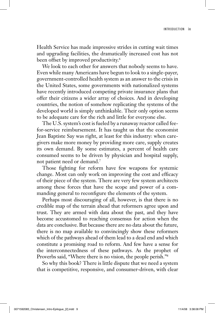Health Service has made impressive strides in cutting wait times and upgrading facilities, the dramatically increased cost has not been offset by improved productivity.<sup>6</sup>

We look to each other for answers that nobody seems to have. Even while many Americans have begun to look to a single-payer, government-controlled health system as an answer to the crisis in the United States, some governments with nationalized systems have recently introduced competing private insurance plans that offer their citizens a wider array of choices. And in developing countries, the notion of somehow replicating the systems of the developed world is simply unthinkable. Their only option seems to be adequate care for the rich and little for everyone else.

The U.S. system's cost is fueled by a runaway reactor called feefor-service reimbursement. It has taught us that the economist Jean Baptiste Say was right, at least for this industry: when caregivers make more money by providing more care, supply creates its own demand. By some estimates, a percent of health care consumed seems to be driven by physician and hospital supply, not patient need or demand.7

Those fighting for reform have few weapons for systemic change. Most can only work on improving the cost and efficacy of their piece of the system. There are very few system architects among these forces that have the scope and power of a commanding general to reconfigure the elements of the system.

Perhaps most discouraging of all, however, is that there is no credible map of the terrain ahead that reformers agree upon and trust. They are armed with data about the past, and they have become accustomed to reaching consensus for action when the data are conclusive. But because there are no data about the future, there is no map available to convincingly show these reformers which of the pathways ahead of them lead to a dead end and which constitute a promising road to reform. And few have a sense for the interconnectedness of these pathways. As the prophet of Proverbs said, "Where there is no vision, the people perish."8

So why this book? There is little dispute that we need a system that is competitive, responsive, and consumer-driven, with clear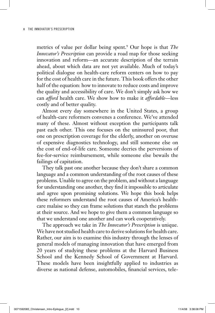metrics of value per dollar being spent.9 Our hope is that *The Innovator's Prescription* can provide a road map for those seeking innovation and reform—an accurate description of the terrain ahead, about which data are not yet available. Much of today's political dialogue on health-care reform centers on how to pay for the cost of health care in the future. This book offers the other half of the equation: how to innovate to reduce costs and improve the quality and accessibility of care. We don't simply ask how we can *afford* health care. We show how to make it *affordable*—less costly and of better quality.

Almost every day somewhere in the United States, a group of health-care reformers convenes a conference. We've attended many of these. Almost without exception the participants talk past each other. This one focuses on the uninsured poor, that one on prescription coverage for the elderly, another on overuse of expensive diagnostics technology, and still someone else on the cost of end-of-life care. Someone decries the perversions of fee-for-service reimbursement, while someone else bewails the failings of capitation.

They talk past one another because they don't share a common language and a common understanding of the root causes of these problems. Unable to agree on the problem, and without a language for understanding one another, they find it impossible to articulate and agree upon promising solutions. We hope this book helps these reformers understand the root causes of America's healthcare malaise so they can frame solutions that stanch the problems at their source. And we hope to give them a common language so that we understand one another and can work cooperatively.

The approach we take in *The Innovator's Prescription* is unique. We have not studied health care to derive solutions for health care. Rather, our aim is to examine this industry through the lenses of general models of managing innovation that have emerged from 20 years of studying these problems at the Harvard Business School and the Kennedy School of Government at Harvard. These models have been insightfully applied to industries as diverse as national defense, automobiles, financial services, tele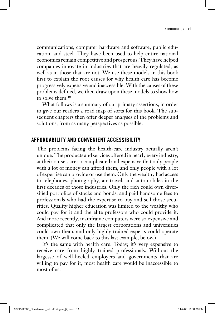communications, computer hardware and software, public education, and steel. They have been used to help entire national economies remain competitive and prosperous. They have helped companies innovate in industries that are heavily regulated, as well as in those that are not. We use these models in this book first to explain the root causes for why health care has become progressively expensive and inaccessible. With the causes of these problems defined, we then draw upon these models to show how to solve them.10

What follows is a summary of our primary assertions, in order to give our readers a road map of sorts for this book. The subsequent chapters then offer deeper analyses of the problems and solutions, from as many perspectives as possible.

# Affordability and Convenient Accessibility

The problems facing the health-care industry actually aren't unique. The products and services offered in nearly every industry, at their outset, are so complicated and expensive that only people with a lot of money can afford them, and only people with a lot of expertise can provide or use them. Only the wealthy had access to telephones, photography, air travel, and automobiles in the first decades of those industries. Only the rich could own diversified portfolios of stocks and bonds, and paid handsome fees to professionals who had the expertise to buy and sell those securities. Quality higher education was limited to the wealthy who could pay for it and the elite professors who could provide it. And more recently, mainframe computers were so expensive and complicated that only the largest corporations and universities could own them, and only highly trained experts could operate them. (We will come back to this last example, below.)

It's the same with health care. Today, it's very expensive to receive care from highly trained professionals. Without the largesse of well-heeled employers and governments that are willing to pay for it, most health care would be inaccessible to most of us.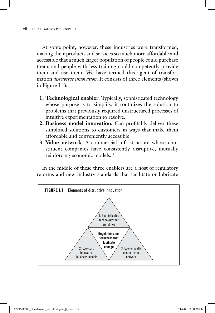At some point, however, these industries were transformed, making their products and services so much more affordable and accessible that a much larger population of people could purchase them, and people with less training could competently provide them and use them. We have termed this agent of transformation *disruptive innovation.* It consists of three elements (shown in Figure I.1).

- **1. Technological enabler***.* Typically, sophisticated technology whose purpose is to simplify, it routinizes the solution to problems that previously required unstructured processes of intuitive experimentation to resolve.
- **2. Business model innovation.** Can profitably deliver these simplified solutions to customers in ways that make them affordable and conveniently accessible.
- **3. Value network.** A commercial infrastructure whose constituent companies have consistently disruptive, mutually reinforcing economic models.<sup>11</sup>

In the middle of these three enablers are a host of regulatory reforms and new industry standards that facilitate or lubricate  $\frac{10}{2}$ 

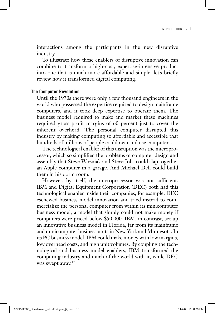interactions among the participants in the new disruptive industry.

To illustrate how these enablers of disruptive innovation can combine to transform a high-cost, expertise-intensive product into one that is much more affordable and simple, let's briefly review how it transformed digital computing.

#### The Computer Revolution

Until the 1970s there were only a few thousand engineers in the world who possessed the expertise required to design mainframe computers, and it took deep expertise to operate them. The business model required to make and market these machines required gross profit margins of 60 percent just to cover the inherent overhead. The personal computer disrupted this industry by making computing so affordable and accessible that hundreds of millions of people could own and use computers.

The technological enabler of this disruption was the microprocessor, which so simplified the problems of computer design and assembly that Steve Wozniak and Steve Jobs could slap together an Apple computer in a garage. And Michael Dell could build them in his dorm room.

However, by itself, the microprocessor was not sufficient. IBM and Digital Equipment Corporation (DEC) both had this technological enabler inside their companies, for example. DEC eschewed business model innovation and tried instead to commercialize the personal computer from within its minicomputer business model, a model that simply could not make money if computers were priced below \$50,000. IBM, in contrast, set up an innovative business model in Florida, far from its mainframe and minicomputer business units in New York and Minnesota. In its PC business model, IBM could make money with low margins, low overhead costs, and high unit volumes. By coupling the technological and business model enablers, IBM transformed the computing industry and much of the world with it, while DEC was swept away.<sup>12</sup>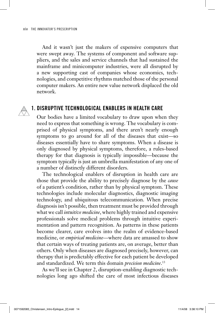And it wasn't just the makers of expensive computers that were swept away. The systems of component and software suppliers, and the sales and service channels that had sustained the mainframe and minicomputer industries, were all disrupted by a new supporting cast of companies whose economics, technologies, and competitive rhythms matched those of the personal computer makers. An entire new value network displaced the old network.

# 1. Disruptive Technological Enablers in Health Care

Our bodies have a limited vocabulary to draw upon when they need to express that something is wrong. The vocabulary is comprised of physical symptoms, and there aren't nearly enough symptoms to go around for all of the diseases that exist—so diseases essentially have to share symptoms. When a disease is only diagnosed by physical symptoms, therefore, a rules-based therapy for that diagnosis is typically impossible—because the symptom typically is just an umbrella manifestation of any one of a number of distinctly different disorders.

The technological enablers of disruption in health care are those that provide the ability to precisely diagnose by the *cause* of a patient's condition*,* rather than by physical symptom. These technologies include molecular diagnostics, diagnostic imaging technology, and ubiquitous telecommunication. When precise diagnosis isn't possible, then treatment must be provided through what we call *intuitive medicine*, where highly trained and expensive professionals solve medical problems through intuitive experimentation and pattern recognition. As patterns in these patients become clearer, care evolves into the realm of evidence-based medicine, or *empirical medicine*—where data are amassed to show that certain ways of treating patients are, on average, better than others. Only when diseases are diagnosed precisely, however, can therapy that is predictably effective for each patient be developed and standardized. We term this domain *precision medicine*. 13

As we'll see in Chapter 2, disruption-enabling diagnostic technologies long ago shifted the care of most infectious diseases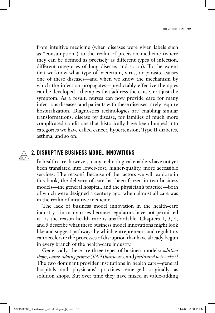from intuitive medicine (when diseases were given labels such as "consumption") to the realm of precision medicine (where they can be defined as precisely as different types of infection, different categories of lung disease, and so on). To the extent that we know what type of bacterium, virus, or parasite causes one of these diseases—and when we know the mechanism by which the infection propagates—predictably effective therapies can be developed—therapies that address the cause, not just the symptom. As a result, nurses can now provide care for many infectious diseases, and patients with these diseases rarely require hospitalization. Diagnostics technologies are enabling similar transformations, disease by disease, for families of much more complicated conditions that historically have been lumped into categories we have called cancer, hypertension, Type II diabetes, asthma, and so on.

# 2. Disruptive Business Model Innovations

In health care, however, many technological enablers have not yet been translated into lower-cost, higher-quality, more accessible services. The reason? Because of the factors we will explore in this book, the delivery of care has been frozen in two business models—the general hospital, and the physician's practice—both of which were designed a century ago, when almost all care was in the realm of intuitive medicine.

The lack of business model innovation in the health-care industry—in many cases because regulators have not permitted it—is the reason health care is unaffordable. Chapters 1, 3, 4, and 5 describe what these business model innovations might look like and suggest pathways by which entrepreneurs and regulators can accelerate the processes of disruption that have already begun in every branch of the health-care industry.

Generically, there are three types of business models: *solution shops, value-adding process* (VAP) *businesses*, and *facilitated networks*. 14 The two dominant provider institutions in health care—general hospitals and physicians' practices—emerged originally as solution shops. But over time they have mixed in value-adding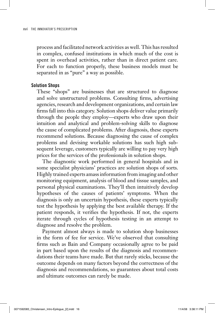process and facilitated network activities as well. This has resulted in complex, confused institutions in which much of the cost is spent in overhead activities, rather than in direct patient care. For each to function properly, these business models must be separated in as "pure" a way as possible.

#### Solution Shops

These "shops" are businesses that are structured to diagnose and solve unstructured problems. Consulting firms, advertising agencies, research and development organizations, and certain law firms fall into this category. Solution shops deliver value primarily through the people they employ—experts who draw upon their intuition and analytical and problem-solving skills to diagnose the cause of complicated problems. After diagnosis, these experts recommend solutions. Because diagnosing the cause of complex problems and devising workable solutions has such high subsequent leverage, customers typically are willing to pay very high prices for the services of the professionals in solution shops.

The diagnostic work performed in general hospitals and in some specialist physicians' practices are solution shops of sorts. Highly trained experts amass information from imaging and other monitoring equipment, analysis of blood and tissue samples, and personal physical examinations. They'll then intuitively develop hypotheses of the causes of patients' symptoms. When the diagnosis is only an uncertain hypothesis, these experts typically test the hypothesis by applying the best available therapy. If the patient responds, it verifies the hypothesis. If not, the experts iterate through cycles of hypothesis testing in an attempt to diagnose and resolve the problem.

Payment almost always is made to solution shop businesses in the form of fee for service. We've observed that consulting firms such as Bain and Company occasionally agree to be paid in part based upon the results of the diagnosis and recommendations their teams have made. But that rarely sticks, because the outcome depends on many factors beyond the correctness of the diagnosis and recommendations, so guarantees about total costs and ultimate outcomes can rarely be made.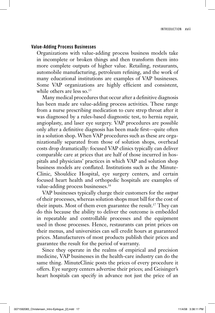#### Value-Adding Process Businesses

Organizations with value-adding process business models take in incomplete or broken things and then transform them into more complete outputs of higher value. Retailing, restaurants, automobile manufacturing, petroleum refining, and the work of many educational institutions are examples of VAP businesses. Some VAP organizations are highly efficient and consistent, while others are less so.<sup>15</sup>

Many medical procedures that occur after a definitive diagnosis has been made are value-adding process activities. These range from a nurse prescribing medication to cure strep throat after it was diagnosed by a rules-based diagnostic test, to hernia repair, angioplasty, and laser eye surgery. VAP procedures are possible only after a definitive diagnosis has been made first—quite often in a solution shop. When VAP procedures such as these are organizationally separated from those of solution shops, overhead costs drop dramatically: focused VAP clinics typically can deliver comparable care at prices that are half of those incurred in hospitals and physicians' practices in which VAP and solution shop business models are conflated. Institutions such as the Minute-Clinic, Shouldice Hospital, eye surgery centers, and certain focused heart health and orthopedic hospitals are examples of value-adding process businesses.16

VAP businesses typically charge their customers for the *output* of their processes, whereas solution shops must bill for the cost of their inputs. Most of them even guarantee the result.17 They can do this because the ability to deliver the outcome is embedded in repeatable and controllable processes and the equipment used in those processes. Hence, restaurants can print prices on their menus, and universities can sell credit hours at guaranteed prices. Manufacturers of most products publish their prices and guarantee the result for the period of warranty.

Since they operate in the realms of empirical and precision medicine, VAP businesses in the health-care industry can do the same thing. MinuteClinic posts the prices of every procedure it offers. Eye surgery centers advertise their prices; and Geisinger's heart hospitals can specify in advance not just the price of an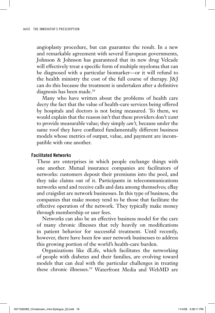angioplasty procedure, but can guarantee the result. In a new and remarkable agreement with several European governments, Johnson & Johnson has guaranteed that its new drug Velcade will effectively treat a specific form of multiple myeloma that can be diagnosed with a particular biomarker—or it will refund to the health ministry the cost of the full course of therapy. J&J can do this because the treatment is undertaken after a definitive diagnosis has been made.<sup>18</sup>

Many who have written about the problems of health care decry the fact that the value of health-care services being offered by hospitals and doctors is not being measured. To them, we would explain that the reason isn't that these providers don't *want* to provide measurable value; they simply *can't,* because under the same roof they have conflated fundamentally different business models whose metrics of output, value, and payment are incompatible with one another.

#### Facilitated Networks

These are enterprises in which people exchange things with one another. Mutual insurance companies are facilitators of networks: customers deposit their premiums into the pool, and they take claims out of it. Participants in telecommunications networks send and receive calls and data among themselves; eBay and craigslist are network businesses. In this type of business, the companies that make money tend to be those that facilitate the effective operation of the network. They typically make money through membership or user fees.

Networks can also be an effective business model for the care of many chronic illnesses that rely heavily on modifications in patient behavior for successful treatment. Until recently, however, there have been few user network businesses to address this growing portion of the world's health-care burden.

Organizations like dLife, which facilitates the networking of people with diabetes and their families, are evolving toward models that can deal with the particular challenges in treating these chronic illnesses.19 Waterfront Media and WebMD are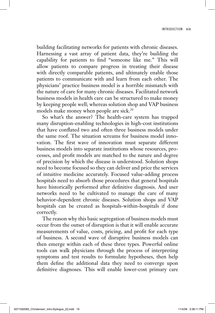building facilitating networks for patients with chronic diseases. Harnessing a vast array of patient data, they're building the capability for patients to find "someone like me." This will allow patients to compare progress in treating their disease with directly comparable patients, and ultimately enable those patients to communicate with and learn from each other. The physicians' practice business model is a horrible mismatch with the nature of care for many chronic diseases. Facilitated network business models in health care can be structured to make money by keeping people well; whereas solution shop and VAP business models make money when people are sick.<sup>20</sup>

So what's the answer? The health-care system has trapped many disruption-enabling technologies in high-cost institutions that have conflated two and often three business models under the same roof. The situation screams for business model innovation. The first wave of innovation must separate different business models into separate institutions whose resources, processes, and profit models are matched to the nature and degree of precision by which the disease is understood. Solution shops need to become focused so they can deliver and price the services of intuitive medicine accurately. Focused value-adding process hospitals need to absorb those procedures that general hospitals have historically performed after definitive diagnosis. And user networks need to be cultivated to manage the care of many behavior-dependent chronic diseases. Solution shops and VAP hospitals can be created as hospitals-within-hospitals if done correctly.

The reason why this basic segregation of business models must occur from the outset of disruption is that it will enable accurate measurements of value, costs, pricing, and profit for each type of business. A second wave of disruptive business models can then emerge within each of these three types. Powerful online tools can walk physicians through the process of interpreting symptoms and test results to formulate hypotheses, then help them define the additional data they need to converge upon definitive diagnoses. This will enable lower-cost primary care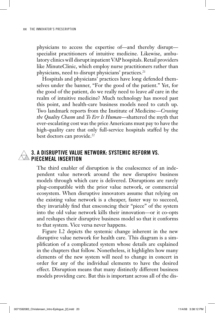physicians to access the expertise of—and thereby disrupt specialist practitioners of intuitive medicine. Likewise, ambulatory clinics will disrupt inpatient VAP hospitals. Retail providers like MinuteClinic, which employ nurse practitioners rather than physicians, need to disrupt physicians' practices.<sup>21</sup>

Hospitals and physicians' practices have long defended themselves under the banner, "For the good of the patient." Yet, for the good of the patient, do we really need to leave *all* care in the realm of intuitive medicine? Much technology has moved past this point, and health-care business models need to catch up. Two landmark reports from the Institute of Medicine—*Crossing the Quality Chasm* and *To Err Is Human*—shattered the myth that ever-escalating cost was the price Americans must pay to have the high-quality care that only full-service hospitals staffed by the best doctors can provide.<sup>22</sup>

# 3. A Disruptive Value Network: Systemic Reform vs. Piecemeal Insertion

The third enabler of disruption is the coalescence of an independent value network around the new disruptive business models through which care is delivered. Disruptions are rarely plug-compatible with the prior value network, or commercial ecosystem. When disruptive innovators assume that relying on the existing value network is a cheaper, faster way to succeed, they invariably find that ensconcing their "piece" of the system into the old value network kills their innovation—or it co-opts and reshapes their disruptive business model so that it conforms to that system. Vice versa never happens.

Figure I.2 depicts the systemic change inherent in the new disruptive value network for health care. This diagram is a simplification of a complicated system whose details are explained in the chapters that follow. Nonetheless, it highlights how many elements of the new system will need to change in concert in order for any of the individual elements to have the desired effect. Disruption means that many distinctly different business models providing care. But this is important across all of the dis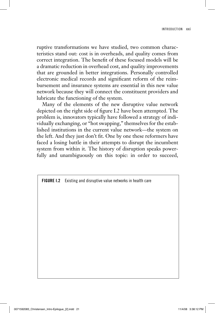ruptive transformations we have studied, two common characteristics stand out: cost is in overheads, and quality comes from correct integration. The benefit of these focused models will be a dramatic reduction in overhead cost, and quality improvements that are grounded in better integrations. Personally controlled electronic medical records and significant reform of the reimbursement and insurance systems are essential in this new value network because they will connect the constituent providers and lubricate the functioning of the system.

Many of the elements of the new disruptive value network depicted on the right side of figure I.2 have been attempted. The problem is, innovators typically have followed a strategy of individually exchanging, or "hot swapping," themselves for the established institutions in the current value network—the system on the left. And they just don't fit. One by one these reformers have faced a losing battle in their attempts to disrupt the incumbent system from within it. The history of disruption speaks powerfully and unambiguously on this topic: in order to succeed,

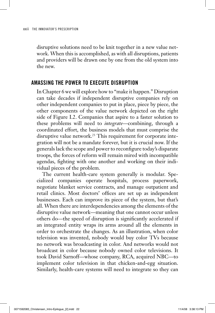disruptive solutions need to be knit together in a new value network. When this is accomplished, as with all disruptions, patients and providers will be drawn one by one from the old system into the new.

# Amassing the Power to Execute Disruption

In Chapter 6 we will explore how to "make it happen." Disruption can take decades if independent disruptive companies rely on other independent companies to put in place, piece by piece, the other components of the value network depicted on the right side of Figure I.2. Companies that aspire to a faster solution to these problems will need to *integrate*—combining, through a coordinated effort, the business models that must comprise the disruptive value network.<sup>23</sup> This requirement for corporate integration will not be a mandate forever, but it is crucial now. If the generals lack the scope and power to reconfigure today's disparate troops, the forces of reform will remain mired with incompatible agendas, fighting with one another and working on their individual pieces of the problem.

The current health-care system generally is modular. Specialized companies operate hospitals, process paperwork, negotiate blanket service contracts, and manage outpatient and retail clinics. Most doctors' offices are set up as independent businesses. Each can improve its piece of the system, but that's all. When there are interdependencies among the elements of the disruptive value network—meaning that one cannot occur unless others do—the speed of disruption is significantly accelerated if an integrated entity wraps its arms around all the elements in order to orchestrate the changes. As an illustration, when color television was invented, nobody would buy color TVs because no network was broadcasting in color. And networks would not broadcast in color because nobody owned color televisions. It took David Sarnoff—whose company, RCA, acquired NBC—to implement color television in that chicken-and-egg situation. Similarly, health-care systems will need to integrate so they can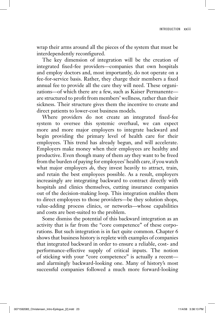wrap their arms around all the pieces of the system that must be interdependently reconfigured.

The key dimension of integration will be the creation of integrated fixed-fee providers—companies that own hospitals and employ doctors and, most importantly, do not operate on a fee-for-service basis. Rather, they charge their members a fixed annual fee to provide all the care they will need. These organizations—of which there are a few, such as Kaiser Permanente are structured to profit from members' wellness, rather than their sickness. Their structure gives them the incentive to create and direct patients to lower-cost business models.

Where providers do not create an integrated fixed-fee system to oversee this systemic overhaul, we can expect more and more major employers to integrate backward and begin providing the primary level of health care for their employees. This trend has already begun, and will accelerate. Employers make money when their employees are healthy and productive. Even though many of them *say* they want to be freed from the burden of paying for employees' health care, if you watch what major employers *do*, they invest heavily to attract, train, and retain the best employees possible. As a result, employers increasingly are integrating backward to contract directly with hospitals and clinics themselves, cutting insurance companies out of the decision-making loop. This integration enables them to direct employees to those providers—be they solution shops, value-adding process clinics, or networks—whose capabilities and costs are best-suited to the problem.

Some dismiss the potential of this backward integration as an activity that is far from the "core competence" of these corporations. But such integration is in fact quite common. Chapter 6 shows that business history is replete with examples of companies that integrated backward in order to ensure a reliable, cost- and performance-effective supply of critical inputs. The notion of sticking with your "core competence" is actually a recent and alarmingly backward-looking one. Many of history's most successful companies followed a much more forward-looking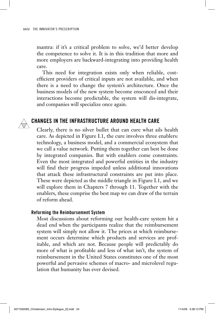mantra: if it's a critical problem to solve, we'd better develop the competence to solve it. It is in this tradition that more and more employers are backward-integrating into providing health care.

This need for integration exists only when reliable, costefficient providers of critical inputs are not available, and when there is a need to change the system's architecture. Once the business models of the new system become ensconced and their interactions become predictable, the system will dis-integrate, and companies will specialize once again.

# Changes in the Infrastructure Around Health Care

Clearly, there is no silver bullet that can cure what ails health care. As depicted in Figure I.1, the cure involves three enablers: technology, a business model, and a commercial ecosystem that we call a value network. Putting them together can best be done by integrated companies. But with enablers come constraints. Even the most integrated and powerful entities in the industry will find their progress impeded unless additional innovations that attack these infrastructural constraints are put into place. These were depicted as the middle triangle in Figure I.1, and we will explore them in Chapters 7 through 11. Together with the enablers, these comprise the best map we can draw of the terrain of reform ahead.

#### Reforming the Reimbursement System

Most discussions about reforming our health-care system hit a dead end when the participants realize that the reimbursement system will simply not allow it. The prices at which reimbursement occurs determine which products and services are profitable, and which are not. Because people will predictably do more of what is profitable and less of what isn't, the system of reimbursement in the United States constitutes one of the most powerful and pervasive schemes of macro- and microlevel regulation that humanity has ever devised.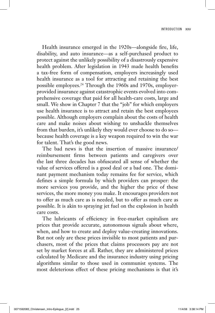Health insurance emerged in the 1920s—alongside fire, life, disability, and auto insurance—as a self-purchased product to protect against the unlikely possibility of a disastrously expensive health problem. After legislation in 1943 made health benefits a tax-free form of compensation, employers increasingly used health insurance as a tool for attracting and retaining the best possible employees.24 Through the 1960s and 1970s, employerprovided insurance against catastrophic events evolved into comprehensive coverage that paid for all health-care costs, large and small. We show in Chapter 7 that the "job" for which employers use health insurance is to attract and retain the best employees possible. Although employers complain about the costs of health care and make noises about wishing to unshackle themselves from that burden, it's unlikely they would ever choose to do so because health coverage is a key weapon required to win the war for talent. That's the good news.

The bad news is that the insertion of massive insurance/ reimbursement firms between patients and caregivers over the last three decades has obfuscated all sense of whether the value of services offered is a good deal or a bad one. The dominant payment mechanism today remains fee for service, which defines a simple formula by which providers can prosper: the more services you provide, and the higher the price of these services, the more money you make. It encourages providers not to offer as much care as is needed, but to offer as much care as possible. It is akin to spraying jet fuel on the explosion in health care costs.

The lubricants of efficiency in free-market capitalism are prices that provide accurate, autonomous signals about where, when, and how to create and deploy value-creating innovations. But not only are these prices invisible to most patients and purchasers, most of the prices that claims processors pay are not set by market forces at all. Rather, they are administered prices calculated by Medicare and the insurance industry using pricing algorithms similar to those used in communist systems. The most deleterious effect of these pricing mechanisms is that it's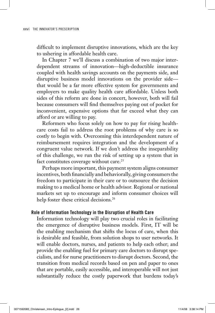difficult to implement disruptive innovations, which are the key to ushering in affordable health care.

In Chapter 7 we'll discuss a combination of two major interdependent streams of innovation—high-deductible insurance coupled with health savings accounts on the payments side, and disruptive business model innovations on the provider side that would be a far more effective system for governments and employers to make quality health care affordable. Unless both sides of this reform are done in concert, however, both will fail because consumers will find themselves paying out of pocket for inconvenient, expensive options that far exceed what they can afford or are willing to pay.

Reformers who focus solely on how to pay for rising healthcare costs fail to address the root problems of why care is so costly to begin with. Overcoming this interdependent nature of reimbursement requires integration and the development of a congruent value network. If we don't address the inseparability of this challenge, we run the risk of setting up a system that in fact constitutes coverage without care.<sup>25</sup>

Perhaps more important, this payment system aligns consumer incentives, both financially and behaviorally, giving consumers the freedom to participate in their care or to outsource the decision making to a medical home or health advisor. Regional or national markets set up to encourage and inform consumer choices will help foster these critical decisions.<sup>26</sup>

#### Role of Information Technology in the Disruption of Health Care

Information technology will play two crucial roles in facilitating the emergence of disruptive business models. First, IT will be the enabling mechanism that shifts the locus of care, when this is desirable and feasible, from solution shops to user networks. It will enable doctors, nurses, and patients to help each other; and provide the enabling fuel for primary care doctors to disrupt specialists, and for nurse practitioners to disrupt doctors. Second, the transition from medical records based on pen and paper to ones that are portable, easily accessible, and interoperable will not just substantially reduce the costly paperwork that burdens today's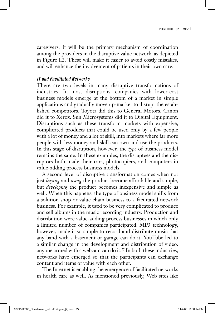caregivers. It will be the primary mechanism of coordination among the providers in the disruptive value network, as depicted in Figure I.2. These will make it easier to avoid costly mistakes, and will enhance the involvement of patients in their own care.

#### *IT and Facilitated Networks*

There are two levels in many disruptive transformations of industries. In most disruptions, companies with lower-cost business models emerge at the bottom of a market in simple applications and gradually move up-market to disrupt the established competitors. Toyota did this to General Motors. Canon did it to Xerox. Sun Microsystems did it to Digital Equipment. Disruptions such as these transform markets with expensive, complicated products that could be used only by a few people with a lot of money and a lot of skill, into markets where far more people with less money and skill can own and use the products. In this stage of disruption, however, the *type* of business model remains the same. In these examples, the disruptees and the disruptors both made their cars, photocopiers, and computers in value-adding process business models.

A second level of disruptive transformation comes when not just *buying* and *using* the product become affordable and simple, but *developing* the product becomes inexpensive and simple as well. When this happens, the type of business model shifts from a solution shop or value chain business to a facilitated network business. For example, it used to be very complicated to produce and sell albums in the music recording industry. Production and distribution were value-adding process businesses in which only a limited number of companies participated. MP3 technology, however, made it so simple to record and distribute music that any band with a basement or garage can do it. YouTube led to a similar change in the development and distribution of video: anyone armed with a webcam can do it.<sup>27</sup> In both these industries, networks have emerged so that the participants can exchange content and items of value with each other.

The Internet is enabling the emergence of facilitated networks in health care as well. As mentioned previously, Web sites like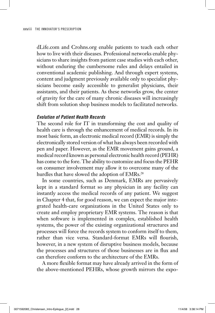dLife.com and Crohns.org enable patients to teach each other how to live with their diseases. Professional networks enable physicians to share insights from patient case studies with each other, without enduring the cumbersome rules and delays entailed in conventional academic publishing. And through expert systems, content and judgment previously available only to specialist physicians become easily accessible to generalist physicians, their assistants, and their patients. As these networks grow, the center of gravity for the care of many chronic diseases will increasingly shift from solution shop business models to facilitated networks.

#### *Evolution of Patient Health Records*

The second role for IT in transforming the cost and quality of health care is through the enhancement of medical records. In its most basic form, an electronic medical record (EMR) is simply the electronically stored version of what has always been recorded with pen and paper. However, as the EMR movement gains ground, a medical record known as personal electronic health record (PEHR) has come to the fore. The ability to customize and focus the PEHR on consumer involvement may allow it to overcome many of the hurdles that have slowed the adoption of EMRs.<sup>28</sup>

In some countries, such as Denmark, EMRs are pervasively kept in a standard format so any physician in any facility can instantly access the medical records of any patient. We suggest in Chapter 4 that, for good reason, we can expect the major integrated health-care organizations in the United States only to create and employ proprietary EMR systems. The reason is that when software is implemented in complex, established health systems, the power of the existing organizational structures and processes will force the records system to conform itself to them, rather than vice versa. Standard-format EMRs will flourish, however, in a new system of disruptive business models, because the processes and structures of those businesses are in flux and can therefore conform to the architecture of the EMRs.

A more flexible format may have already arrived in the form of the above-mentioned PEHRs, whose growth mirrors the expo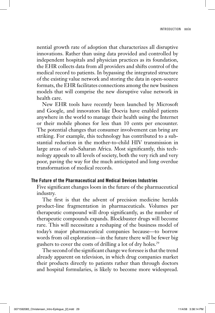nential growth rate of adoption that characterizes all disruptive innovations. Rather than using data provided and controlled by independent hospitals and physician practices as its foundation, the EHR collects data from all providers and shifts control of the medical record to patients. In bypassing the integrated structure of the existing value network and storing the data in open-source formats, the EHR facilitates connections among the new business models that will comprise the new disruptive value network in health care.

New EHR tools have recently been launched by Microsoft and Google, and innovators like Docvia have enabled patients anywhere in the world to manage their health using the Internet or their mobile phones for less than 10 cents per encounter. The potential changes that consumer involvement can bring are striking. For example, this technology has contributed to a substantial reduction in the mother-to-child HIV transmission in large areas of sub-Saharan Africa. Most significantly, this technology appeals to all levels of society, both the very rich and very poor, paving the way for the much anticipated and long overdue transformation of medical records.

#### The Future of the Pharmaceutical and Medical Devices Industries

Five significant changes loom in the future of the pharmaceutical industry.

The first is that the advent of precision medicine heralds product-line fragmentation in pharmaceuticals. Volumes per therapeutic compound will drop significantly, as the number of therapeutic compounds expands. Blockbuster drugs will become rare. This will necessitate a reshaping of the business model of today's major pharmaceutical companies because—to borrow words from oil exploration—in the future there will be fewer big gushers to cover the costs of drilling a lot of dry holes.29

The second of the significant change we foresee is that the trend already apparent on television, in which drug companies market their products directly to patients rather than through doctors and hospital formularies, is likely to become more widespread.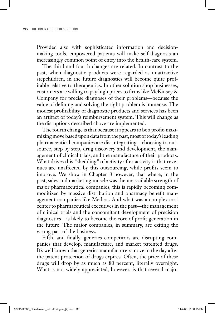Provided also with sophisticated information and decisionmaking tools, empowered patients will make self-diagnosis an increasingly common point of entry into the health-care system.

The third and fourth changes are related. In contrast to the past, when diagnostic products were regarded as unattractive stepchildren, in the future diagnostics will become quite profitable relative to therapeutics. In other solution shop businesses, customers are willing to pay high prices to firms like McKinsey & Company for precise diagnoses of their problems—because the value of defining and solving the right problem is immense. The modest profitability of diagnostic products and services has been an artifact of today's reimbursement system. This will change as the disruptions described above are implemented.

The fourth change is that because it appears to be a profit-maximizing move based upon data from the past, most of today's leading pharmaceutical companies are dis-integrating—choosing to outsource, step by step, drug discovery and development, the management of clinical trials, and the manufacture of their products. What drives this "shedding" of activity after activity is that revenues are unaffected by this outsourcing, while profits seem to improve. We show in Chapter 8 however, that where, in the past, sales and marketing muscle was the unassailable strength of major pharmaceutical companies, this is rapidly becoming commoditized by massive distribution and pharmacy benefit management companies like Medco.. And what was a complex cost center to pharmaceutical executives in the past—the management of clinical trials and the concomitant development of precision diagnostics—is likely to become the core of profit generation in the future. The major companies, in summary, are exiting the wrong part of the business.

Fifth, and finally, generics competitors are disrupting companies that develop, manufacture, and market patented drugs. It's well known that generics manufacturers move in the day after the patent protection of drugs expires. Often, the price of these drugs will drop by as much as 80 percent, literally overnight. What is not widely appreciated, however, is that several major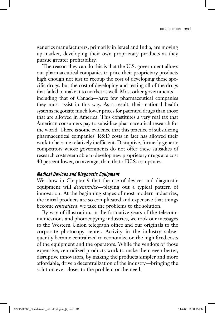generics manufacturers, primarily in Israel and India, are moving up-market, developing their own proprietary products as they pursue greater profitability.

The reason they can do this is that the U.S. government allows our pharmaceutical companies to price their proprietary products high enough not just to recoup the cost of developing those specific drugs, but the cost of developing and testing all of the drugs that failed to make it to market as well. Most other governments including that of Canada—have few pharmaceutical companies they must assist in this way. As a result, their national health systems negotiate much lower prices for patented drugs than those that are allowed in America. This constitutes a very real tax that American consumers pay to subsidize pharmaceutical research for the world. There is some evidence that this practice of subsidizing pharmaceutical companies' R&D costs in fact has allowed their work to become relatively inefficient. Disruptive, formerly generic competitors whose governments do not offer these subsidies of research costs seem able to develop new proprietary drugs at a cost 40 percent lower, on average, than that of U.S. companies.

#### *Medical Devices and Diagnostic Equipment*

We show in Chapter 9 that the use of devices and diagnostic equipment will *decentralize*—playing out a typical pattern of innovation. At the beginning stages of most modern industries, the initial products are so complicated and expensive that things become *centralized*: we take the problems to the solution.

By way of illustration, in the formative years of the telecommunications and photocopying industries, we took our messages to the Western Union telegraph office and our originals to the corporate photocopy center. Activity in the industry subsequently became centralized to economize on the high fixed costs of the equipment and the operators. While the vendors of those expensive, centralized products work to make them even better, disruptive innovators, by making the products simpler and more affordable, drive a decentralization of the industry—bringing the solution ever closer to the problem or the need.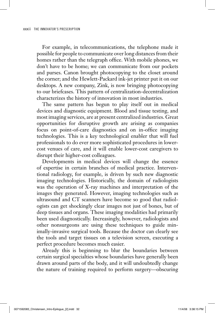For example, in telecommunications, the telephone made it possible for people to communicate over long distances from their homes rather than the telegraph office. With mobile phones, we don't have to be home; we can communicate from our pockets and purses. Canon brought photocopying to the closet around the corner; and the Hewlett-Packard ink-jet printer put it on our desktops. A new company, Zink, is now bringing photocopying to our briefcases. This pattern of centralization-decentralization characterizes the history of innovation in most industries.

The same pattern has begun to play itself out in medical devices and diagnostic equipment. Blood and tissue testing, and most imaging services, are at present centralized industries. Great opportunities for disruptive growth are arising as companies focus on point-of-care diagnostics and on in-office imaging technologies. This is a key technological enabler that will fuel professionals to do ever more sophisticated procedures in lowercost venues of care, and it will enable lower-cost caregivers to disrupt their higher-cost colleagues.

Developments in medical devices will change the essence of expertise in certain branches of medical practice. Interventional radiology, for example, is driven by such new diagnostic imaging technologies. Historically, the domain of radiologists was the operation of X-ray machines and interpretation of the images they generated. However, imaging technologies such as ultrasound and CT scanners have become so good that radiologists can get shockingly clear images not just of bones, but of deep tissues and organs. These imaging modalities had primarily been used diagnostically. Increasingly, however, radiologists and other nonsurgeons are using these techniques to guide minimally-invasive surgical tools. Because the doctor can clearly see the tools and target tissues on a television screen, executing a perfect procedure becomes much easier.

Already this is beginning to blur the boundaries between certain surgical specialties whose boundaries have generally been drawn around parts of the body, and it will undoubtedly change the nature of training required to perform surgery—obscuring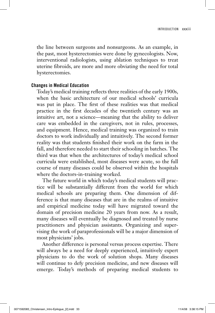the line between surgeons and nonsurgeons. As an example, in the past, most hysterectomies were done by gynecologists. Now, interventional radiologists, using ablation techniques to treat uterine fibroids, are more and more obviating the need for total hysterectomies.

#### Changes in Medical Education

Today's medical training reflects three realities of the early 1900s, when the basic architecture of our medical schools' curricula was put in place. The first of these realities was that medical practice in the first decades of the twentieth century was an intuitive art, not a science—meaning that the ability to deliver care was embedded in the caregivers, not in rules, processes, and equipment. Hence, medical training was organized to train doctors to work individually and intuitively. The second former reality was that students finished their work on the farm in the fall, and therefore needed to start their schooling in batches. The third was that when the architectures of today's medical school curricula were established, most diseases were acute, so the full course of many diseases could be observed within the hospitals where the doctors-in-training worked.

The future world in which today's medical students will practice will be substantially different from the world for which medical schools are preparing them. One dimension of difference is that many diseases that are in the realms of intuitive and empirical medicine today will have migrated toward the domain of precision medicine 20 years from now. As a result, many diseases will eventually be diagnosed and treated by nurse practitioners and physician assistants. Organizing and supervising the work of paraprofessionals will be a major dimension of most physicians' jobs.

Another difference is personal versus process expertise. There will always be a need for deeply experienced, intuitively expert physicians to do the work of solution shops. Many diseases will continue to defy precision medicine, and new diseases will emerge. Today's methods of preparing medical students to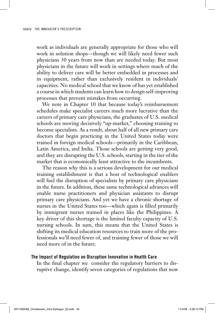work as individuals are generally appropriate for those who will work in solution shops—though we will likely need fewer such physicians 30 years from now than are needed today. But most physicians in the future will work in settings where much of the ability to deliver care will be better embedded in processes and in equipment, rather than exclusively resident in individuals' capacities. No medical school that we know of has yet established a course in which students can learn how to design self-improving processes that prevent mistakes from occurring.

We note in Chapter 10 that because today's reimbursement schedules make specialist careers much more lucrative than the careers of primary care physicians, the graduates of U.S. medical schools are moving decisively "up-market," choosing training to become specialists. As a result, about half of all new primary care doctors that begin practicing in the United States today were trained in foreign medical schools—primarily in the Caribbean, Latin America, and India. Those schools are getting very good, and they are disrupting the U.S. schools, starting in the tier of the market that is economically least attractive to the incumbents.

The reason why this is a serious development for our medical training establishment is that a host of technological enablers will fuel the disruption of specialists by primary care physicians in the future. In addition, these same technological advances will enable nurse practitioners and physician assistants to disrupt primary care physicians. And yet we have a chronic shortage of nurses in the United States too—which again is filled primarily by immigrant nurses trained in places like the Philippines. A key driver of this shortage is the limited faculty capacity of U.S. nursing schools. In sum, this means that the United States is shifting its medical education resources to train more of the professionals we'll need fewer of, and training fewer of those we will need more of in the future.

#### The Impact of Regulation on Disruption Innovation in Health Care

In the final chapter we consider the regulatory barriers to disruptive change, identify seven categories of regulations that now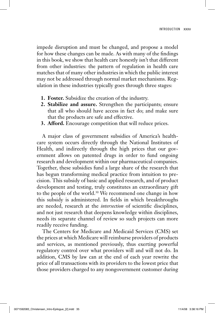impede disruption and must be changed, and propose a model for how these changes can be made. As with many of the findings in this book, we show that health care honestly isn't that different from other industries: the pattern of regulation in health care matches that of many other industries in which the public interest may not be addressed through normal market mechanisms. Regulation in these industries typically goes through three stages:

- **1. Foster.** Subsidize the creation of the industry.
- **2. Stabilize and assure.** Strengthen the participants; ensure that all who should have access in fact do; and make sure that the products are safe and effective.
- **3. Afford.** Encourage competition that will reduce prices.

A major class of government subsidies of America's healthcare system occurs directly through the National Institutes of Health, and indirectly through the high prices that our government allows on patented drugs in order to fund ongoing research and development within our pharmaceutical companies. Together, these subsidies fund a large share of the research that has begun transforming medical practice from intuition to precision. This subsidy of basic and applied research, and of product development and testing, truly constitutes an extraordinary gift to the people of the world.30 We recommend one change in how this subsidy is administered. In fields in which breakthroughs are needed, research at the *intersection* of scientific disciplines, and not just research that deepens knowledge within disciplines, needs its separate channel of review so such projects can more readily receive funding.

The Centers for Medicare and Medicaid Services (CMS) set the prices at which Medicare will reimburse providers of products and services, as mentioned previously, thus exerting powerful regulatory control over what providers will and will not do. In addition, CMS by law can at the end of each year rewrite the price of all transactions with its providers to the lowest price that those providers charged to any nongovernment customer during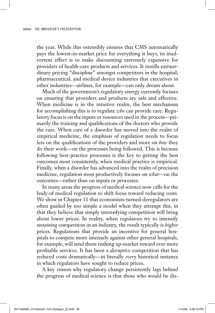the year. While this ostensibly ensures that CMS automatically pays the lowest-in-market price for everything it buys, its inadvertent effect is to make discounting extremely expensive for providers of health-care products and services. It instills extraordinary pricing "discipline" amongst competitors in the hospital, pharmaceutical, and medical device industries that executives in other industries—airlines, for example—can only dream about.

Much of the government's regulatory energy currently focuses on ensuring that providers and products are safe and effective. When medicine is in the intuitive realm, the best mechanism for accomplishing this is to regulate *who* can provide care. Regulatory focus is on the inputs or resources used in the process—primarily the training and qualifications of the doctors who provide the care. When care of a disorder has moved into the realm of empirical medicine, the emphasis of regulation needs to focus less on the qualifications of the providers and more on *how* they do their work—on the processes being followed. This is because following best-practice processes is the key to getting the best outcomes most consistently, when medical practice is empirical. Finally, when a disorder has advanced into the realm of precision medicine, regulation most productively focuses on *what*—on the outcomes—rather than on inputs or processes.

In many areas the progress of medical science now calls for the body of medical regulation to shift focus toward reducing costs. We show in Chapter 11 that economists-turned-deregulators are often guided by too simple a model when they attempt this, in that they believe that simply intensifying competition will bring about lower prices. In reality, when regulators try to intensify *sustaining* competition in an industry, the result typically is *higher* prices. Regulations that provide an incentive for general hospitals to compete more intensely against other general hospitals, for example, will send them rushing up-market toward ever more profitable services. It has been a *disruptive* competition that has reduced costs dramatically—in literally *every* historical instance in which regulators have sought to reduce prices.

A key reason why regulatory change persistently lags behind the progress of medical science is that those who would be dis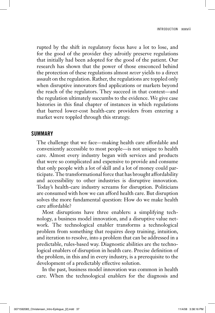rupted by the shift in regulatory focus have a lot to lose, and for the good of the provider they adroitly preserve regulations that initially had been adopted for the good of the patient. Our research has shown that the power of those ensconced behind the protection of these regulations almost *never* yields to a direct assault on the regulation. Rather, the regulations are toppled only when disruptive innovators find applications or markets beyond the reach of the regulators. They succeed in that context—and the regulation ultimately succumbs to the evidence. We give case histories in this final chapter of instances in which regulations that barred lower-cost health-care providers from entering a market were toppled through this strategy.

## Summary

The challenge that we face—making health care affordable and conveniently accessible to most people—is not unique to health care. Almost every industry began with services and products that were so complicated and expensive to provide and consume that only people with a lot of skill and a lot of money could participate. The transformational force that has brought affordability and accessibility to other industries is disruptive innovation. Today's health-care industry screams for disruption. Politicians are consumed with how we can afford health care. But disruption solves the more fundamental question: How do we make health care affordable?

Most disruptions have three enablers: a simplifying technology, a business model innovation, and a disruptive value network. The technological enabler transforms a technological problem from something that requires deep training, intuition, and iteration to resolve, into a problem that can be addressed in a predictable, rules-based way. Diagnostic abilities are the technological enablers of disruption in health care. Precise definition of the problem, in this and in every industry, is a prerequisite to the development of a predictably effective solution.

In the past, business model innovation was common in health care. When the technological enablers for the diagnosis and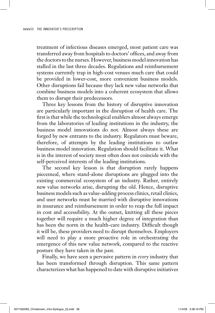treatment of infectious diseases emerged, most patient care was transferred away from hospitals to doctors' offices, and away from the doctors to the nurses. However, business model innovation has stalled in the last three decades. Regulations and reimbursement systems currently trap in high-cost venues much care that could be provided in lower-cost, more convenient business models. Other disruptions fail because they lack new value networks that combine business models into a coherent ecosystem that allows them to disrupt their predecessors.

Three key lessons from the history of disruptive innovation are particularly important in the disruption of health care. The first is that while the technological enablers almost always emerge from the laboratories of leading institutions in the industry, the business model innovations do not. Almost always these are forged by new entrants to the industry. Regulators must beware, therefore, of attempts by the leading institutions to outlaw business model innovation. Regulation should facilitate it. What is in the interest of society most often does not coincide with the self-perceived interests of the leading institutions.

The second key lesson is that disruption rarely happens piecemeal, where stand-alone disruptions are plugged into the existing commercial ecosystem of an industry. Rather, entirely new value networks arise, disrupting the old. Hence, disruptive business models such as value-adding process clinics, retail clinics, and user networks must be married with disruptive innovations in insurance and reimbursement in order to reap the full impact in cost and accessibility. At the outset, knitting all these pieces together will require a much higher degree of integration than has been the norm in the health-care industry. Difficult though it will be, these providers need to disrupt themselves. Employers will need to play a more proactive role in orchestrating the emergence of this new value network, compared to the reactive posture they have taken in the past.

Finally, we have seen a pervasive pattern in *every* industry that has been transformed through disruption. This same pattern characterizes what has happened to date with disruptive initiatives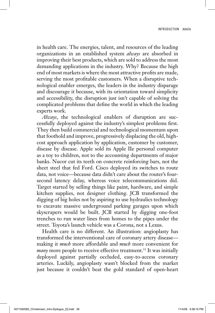in health care. The energies, talent, and resources of the leading organizations in an established system *always* are absorbed in improving their best products, which are sold to address the most demanding applications in the industry. Why? Because the high end of most markets is where the most attractive profits are made, serving the most profitable customers. When a disruptive technological enabler emerges, the leaders in the industry disparage and discourage it because, with its orientation toward simplicity and accessibility, the disruption just isn't capable of solving the complicated problems that define the world in which the leading experts work.

*Always*, the technological enablers of disruption are successfully deployed against the industry's simplest problems first. They then build commercial and technological momentum upon that foothold and improve, progressively displacing the old, highcost approach application by application, customer by customer, disease by disease. Apple sold its Apple IIe personal computer as a toy to children, not to the accounting departments of major banks. Nucor cut its teeth on concrete reinforcing bars, not the sheet steel that fed Ford. Cisco deployed its switches to route data, not voice—because data didn't care about the router's foursecond latency delay, whereas voice telecommunications did. Target started by selling things like paint, hardware, and simple kitchen supplies, not designer clothing. JCB transformed the digging of big holes not by aspiring to use hydraulics technology to excavate massive underground parking garages upon which skyscrapers would be built. JCB started by digging one-foot trenches to run water lines from homes to the pipes under the street. Toyota's launch vehicle was a Corona, not a Lexus.

Health care is no different. An illustration: angioplasty has transformed the interventional care of coronary artery disease making it *much* more affordable and *much* more convenient for *many* more people to receive effective treatment.<sup>31</sup> It was initially deployed against partially occluded, easy-to-access coronary arteries. Luckily, angioplasty wasn't blocked from the market just because it couldn't beat the gold standard of open-heart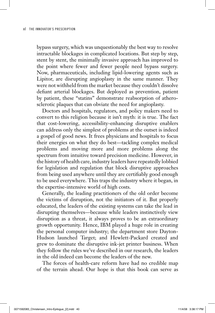bypass surgery, which was unquestionably the best way to resolve intractable blockages in complicated locations. But step by step, stent by stent, the minimally invasive approach has improved to the point where fewer and fewer people need bypass surgery. Now, pharmaceuticals, including lipid-lowering agents such as Lipitor, are disrupting angioplasty in the same manner. They were not withheld from the market because they couldn't dissolve defiant arterial blockages. But deployed as prevention, patient by patient, these "statins" demonstrate reabsorption of atherosclerotic plaques that can obviate the need for angioplasty.

Doctors and hospitals, regulators, and policy makers need to convert to this religion because it isn't myth: it is true. The fact that cost-lowering, accessibility-enhancing disruptive enablers can address only the simplest of problems at the outset is indeed a gospel of good news. It frees physicians and hospitals to focus their energies on what they do best—tackling complex medical problems and moving more and more problems along the spectrum from intuitive toward precision medicine. However, in the history of health care, industry leaders have repeatedly lobbied for legislation and regulation that block disruptive approaches from being used anywhere until they are certifiably good enough to be used everywhere. This traps the industry where it began, in the expertise-intensive world of high costs.

Generally, the leading practitioners of the old order become the victims of disruption, not the initiators of it. But properly educated, the leaders of the existing systems can take the lead in disrupting themselves—because while leaders instinctively view disruption as a threat, it always proves to be an extraordinary growth opportunity. Hence, IBM played a huge role in creating the personal computer industry; the department store Dayton-Hudson launched Target; and Hewlett-Packard created and grew to dominate the disruptive ink-jet printer business. When they follow the rules we've described in our research, the leaders in the old indeed can become the leaders of the new.

The forces of health-care reform have had no credible map of the terrain ahead. Our hope is that this book can serve as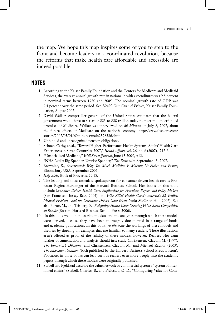the map. We hope this map inspires some of you to step to the front and become leaders in a coordinated revolution, because the reforms that make health care affordable and accessible are indeed possible.

### **NOTES**

- 1. According to the Kaiser Family Foundation and the Centers for Medicare and Medicaid Services, the average annual growth rate in national health expenditures was 9.8 percent in nominal terms between 1970 and 2005. The nominal growth rate of GDP was 7.4 percent over the same period. See *Health Care Costs: A Primer*, Kaiser Family Foundation, August 2007.
- 2. David Walker, comptroller general of the United States, estimates that the federal government would have to set aside \$23 to \$28 trillion today to meet the underfunded promises of Medicare. Walker was interviewed on *60 Minutes* on July 8, 2007, about the future effects of Medicare on the nation's economy: http://www.cbsnews.com/ stories/2007/03/01/60minutes/main2528226.shtml.
- 3. Unfunded and unrecognized pension obligations.
- 4. Schoen, Cathy, et. al., "Toward Higher-Performance Health Systems: Adults' Health Care Experiences in Seven Countries, 2007," *Health Affairs*, vol. 26, no. 6 (2007), 717–34.
- 5. "Unsocialized Medicine," *Wall Street Journal*, June 13 2005, A12.
- 6. "NHS Audit: Big Spender, Unwise Spender," *The Economist*, September 13, 2007.
- 7. Brownlee, S., *Overtreated: Why Too Much Medicine Is Making Us Sicker and Poorer*, Bloomsbury USA, September 2007.
- 8. *Holy Bible*, Book of Proverbs, 29:18.
- 9. The leading and most articulate spokesperson for consumer-driven health care is Professor Regina Herzlinger of the Harvard Business School. Her books on this topic include *Consumer-Driven Health Care: Implications for Providers, Payers, and Policy-Makers* (San Francisco: Jossey-Bass, 2004); and *Who Killed Health Care?: America's \$2 Trillion Medical Problem—and the Consumer-Driven Cure* (New York: McGraw-Hill, 2007). See also Porter, M., and Teisberg, E., *Redefining Health Care: Creating Value-Based Competition on Results* (Boston: Harvard Business School Press, 2006).
- 10. In this book we do not describe the data and the analytics through which these models were derived, because they have been thoroughly documented in a range of books and academic publications. In this book we *illustrate* the workings of these models and theories by drawing on examples that are familiar to many readers. These illustrations aren't offered as proof of the validity of these models, however. Readers who want further documentation and analysis should first study Christensen, Clayton M. (1997), *The Innovator's Dilemma*, and Christensen, Clayton M., and Michael Raynor (2003), *The Innovator's Solution* (both published by the Harvard Business School Press, Boston). Footnotes in those books can lead curious readers even more deeply into the academic papers through which these models were originally published.
- 11. Stabell and Fjeldstad describe the value network or commercial system a "system of interlinked chains" (Stabell, Charles. B., and Fjeldstad, Ø. D., "Configuring Value for Com-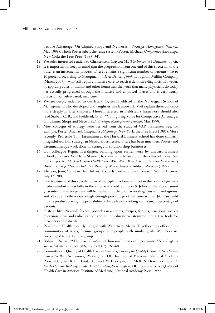petitive Advantage: On Chains, Shops and Networks." *Strategic Management Journal*, May 1998), which Porter labels the value system (Porter, Michael, *Competitive Advantage*. New York: the Free Press (1985):34).

- 12. We refer interested readers to Christensen, Clayton M., *The Innovator's Dilemma,* op.cit*.*
- 13. It is important to keep in mind that the progression from one end of this spectrum to the other is an incremental process. There remains a significant number of patients—16 to 20 percent, according to Groopman, J., *How Doctors Think*, Houghton Mifflin Company (March 2007)—who still require intuitive care to reach a definitive diagnosis. However, by applying rules of thumb and other heuristics, the work that many physicians do today has actually progressed through the intuitive and empirical phases and is very nearly precision, or rules-based, medicine.
- 14. We are deeply indebted to our friend Øystein Fjeldstad of the Norwegian School of Management, who developed and taught us this framework. Wel explain these concepts more deeply in later chapters. Those interested in Fjeldstein's framework should also read Stabell, C. B., and Fjeldstad, Ø. D., "Configuring Value for Competitive Advantage: On Chains, Shops and Networks." *Strategic Management Journal*, May 1998.
- 15. Most concepts of strategy were derived from the study of VAP businesses. See, for example, Porter, Michael, *Competitive Advantage*. New York: the Free Press (1985). More recently, Professor Tom Eisenmann at the Harvard Business School has done similarly insightful work on strategy in Network businesses. There has been much less Porter- and Eisenmannesque work done on strategy in solution shop businesses.
- 16. Our colleague Regina Herzlinger, building upon earlier work by Harvard Business School professor Wickham Skinner, has written extensively on the value of focus. See Herzlinger, R., *Market-Driven Health Care: Who Wins, Who Loses in the Transformation of America's Largest Service Industry*. Reading, Massachusetts: Addison-Wesley (1997).
- 17. Abelson, Jenn, "Shift in Health-Cost Focus Is Said to Show Promise." *New York Times*, July 12, 2007.
- 18. The treatment of this specific form of multiple myeloma isn't yet in the realm of *precision* medicine—but it is solidly in the empirical world. Johnson & Johnson therefore cannot guarantee that *every* patient will be healed. But the biomarker diagnosis is unambiguous, and Velcade is efficacious a high enough percentage of the time so that J&J can build into its product pricing the probability of Velcade not working with a small percentage of patients.
- 19. dLife at http://www.dlife.com, provides newsletters, recipes, forums, a national weekly television show and radio station, and online educator-customized interactive tools for providers and patients.
- 20. Revolution Health recently merged with Waterfront Media. Together they offer online communities of blogs, forums, groups, and people with similar goals. Members are encouraged to start a new group.
- 21. Bohmer, Richard, "The Rise of In-Store Clinics—Threat or Opportunity?" *New England Journal of Medicine*, vol. 356, no. 8 (2007): 765-68.
- 22. Committee on Quality of Health Care in America, *Crossing the Quality Chasm: A New Health System for the 21st Century*, Washington, DC: Institute of Medicine, National Academy Press, 2001; and Kohn, Linda T., Janet M. Corrigan, and Molla S. Donaldson, eds., *To Err Is Human: Building a Safer Health System,* Washington, DC: Committee on Quality of Health Care in America, Institute of Medicine, National Academy Press, 1999.